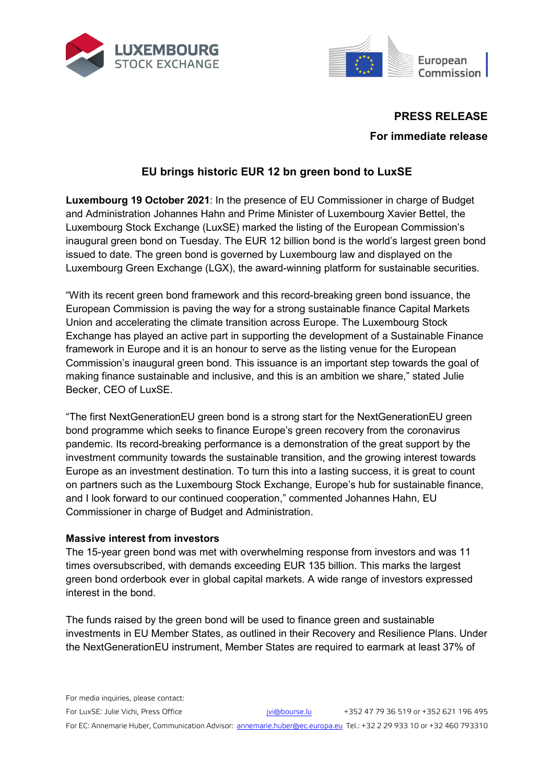



# **PRESS RELEASE**

**For immediate release**

# **EU brings historic EUR 12 bn green bond to LuxSE**

**Luxembourg 19 October 2021**: In the presence of EU Commissioner in charge of Budget and Administration Johannes Hahn and Prime Minister of Luxembourg Xavier Bettel, the Luxembourg Stock Exchange (LuxSE) marked the listing of the European Commission's inaugural green bond on Tuesday. The EUR 12 billion bond is the world's largest green bond issued to date. The green bond is governed by Luxembourg law and displayed on the Luxembourg Green Exchange (LGX), the award-winning platform for sustainable securities.

"With its recent green bond framework and this record-breaking green bond issuance, the European Commission is paving the way for a strong sustainable finance Capital Markets Union and accelerating the climate transition across Europe. The Luxembourg Stock Exchange has played an active part in supporting the development of a Sustainable Finance framework in Europe and it is an honour to serve as the listing venue for the European Commission's inaugural green bond. This issuance is an important step towards the goal of making finance sustainable and inclusive, and this is an ambition we share," stated Julie Becker, CEO of LuxSE.

"The first NextGenerationEU green bond is a strong start for the NextGenerationEU green bond programme which seeks to finance Europe's green recovery from the coronavirus pandemic. Its record-breaking performance is a demonstration of the great support by the investment community towards the sustainable transition, and the growing interest towards Europe as an investment destination. To turn this into a lasting success, it is great to count on partners such as the Luxembourg Stock Exchange, Europe's hub for sustainable finance, and I look forward to our continued cooperation," commented Johannes Hahn, EU Commissioner in charge of Budget and Administration.

### **Massive interest from investors**

The 15-year green bond was met with overwhelming response from investors and was 11 times oversubscribed, with demands exceeding EUR 135 billion. This marks the largest green bond orderbook ever in global capital markets. A wide range of investors expressed interest in the bond.

The funds raised by the green bond will be used to finance green and sustainable investments in EU Member States, as outlined in their Recovery and Resilience Plans. Under the NextGenerationEU instrument, Member States are required to earmark at least 37% of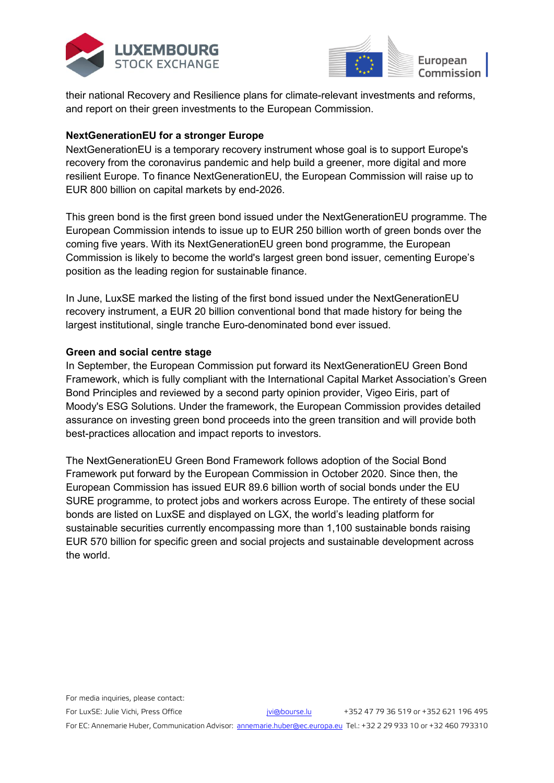



their national Recovery and Resilience plans for climate-relevant investments and reforms, and report on their green investments to the European Commission.

### **NextGenerationEU for a stronger Europe**

NextGenerationEU is a temporary recovery instrument whose goal is to support Europe's recovery from the coronavirus pandemic and help build a greener, more digital and more resilient Europe. To finance NextGenerationEU, the European Commission will raise up to EUR 800 billion on capital markets by end-2026.

This green bond is the first green bond issued under the NextGenerationEU programme. The European Commission intends to issue up to EUR 250 billion worth of green bonds over the coming five years. With its NextGenerationEU green bond programme, the European Commission is likely to become the world's largest green bond issuer, cementing Europe's position as the leading region for sustainable finance.

In June, LuxSE marked the listing of the first bond issued under the NextGenerationEU recovery instrument, a EUR 20 billion conventional bond that made history for being the largest institutional, single tranche Euro-denominated bond ever issued.

## **Green and social centre stage**

In September, the European Commission put forward its NextGenerationEU Green Bond Framework, which is fully compliant with the International Capital Market Association's Green Bond Principles and reviewed by a second party opinion provider, Vigeo Eiris, part of Moody's ESG Solutions. Under the framework, the European Commission provides detailed assurance on investing green bond proceeds into the green transition and will provide both best-practices allocation and impact reports to investors.

The NextGenerationEU Green Bond Framework follows adoption of the Social Bond Framework put forward by the European Commission in October 2020. Since then, the European Commission has issued EUR 89.6 billion worth of social bonds under the EU SURE programme, to protect jobs and workers across Europe. The entirety of these social bonds are listed on LuxSE and displayed on LGX, the world's leading platform for sustainable securities currently encompassing more than 1,100 sustainable bonds raising EUR 570 billion for specific green and social projects and sustainable development across the world.